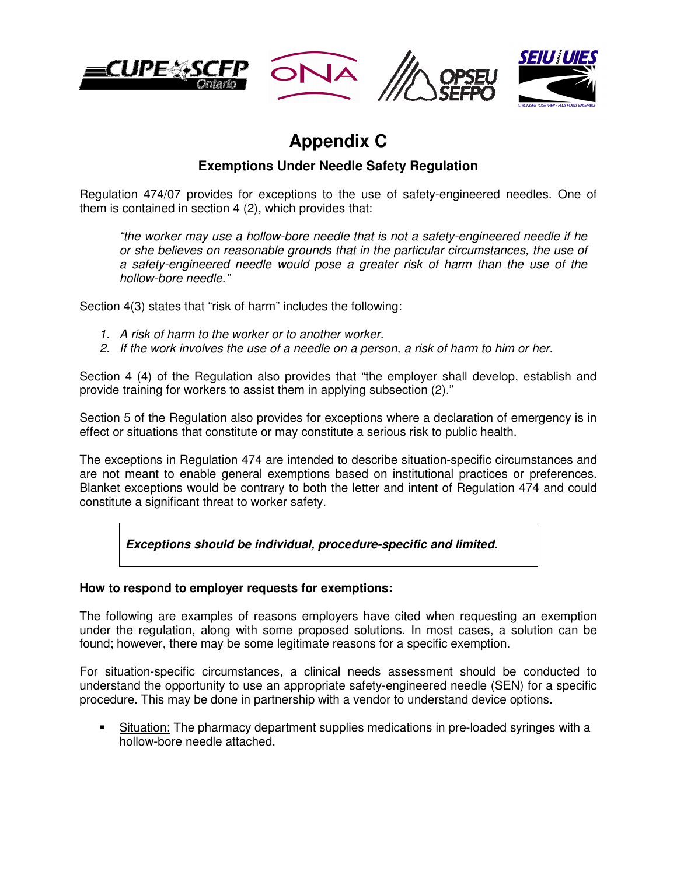





## **Appendix C**

## **Exemptions Under Needle Safety Regulation**

Regulation 474/07 provides for exceptions to the use of safety-engineered needles. One of them is contained in section 4 (2), which provides that:

"the worker may use a hollow-bore needle that is not a safety-engineered needle if he or she believes on reasonable grounds that in the particular circumstances, the use of a safety-engineered needle would pose a greater risk of harm than the use of the hollow-bore needle."

Section 4(3) states that "risk of harm" includes the following:

- 1. A risk of harm to the worker or to another worker.
- 2. If the work involves the use of a needle on a person, a risk of harm to him or her.

Section 4 (4) of the Regulation also provides that "the employer shall develop, establish and provide training for workers to assist them in applying subsection (2)."

Section 5 of the Regulation also provides for exceptions where a declaration of emergency is in effect or situations that constitute or may constitute a serious risk to public health.

The exceptions in Regulation 474 are intended to describe situation-specific circumstances and are not meant to enable general exemptions based on institutional practices or preferences. Blanket exceptions would be contrary to both the letter and intent of Regulation 474 and could constitute a significant threat to worker safety.

**Exceptions should be individual, procedure-specific and limited.** 

## **How to respond to employer requests for exemptions:**

The following are examples of reasons employers have cited when requesting an exemption under the regulation, along with some proposed solutions. In most cases, a solution can be found; however, there may be some legitimate reasons for a specific exemption.

For situation-specific circumstances, a clinical needs assessment should be conducted to understand the opportunity to use an appropriate safety-engineered needle (SEN) for a specific procedure. This may be done in partnership with a vendor to understand device options.

 Situation: The pharmacy department supplies medications in pre-loaded syringes with a hollow-bore needle attached.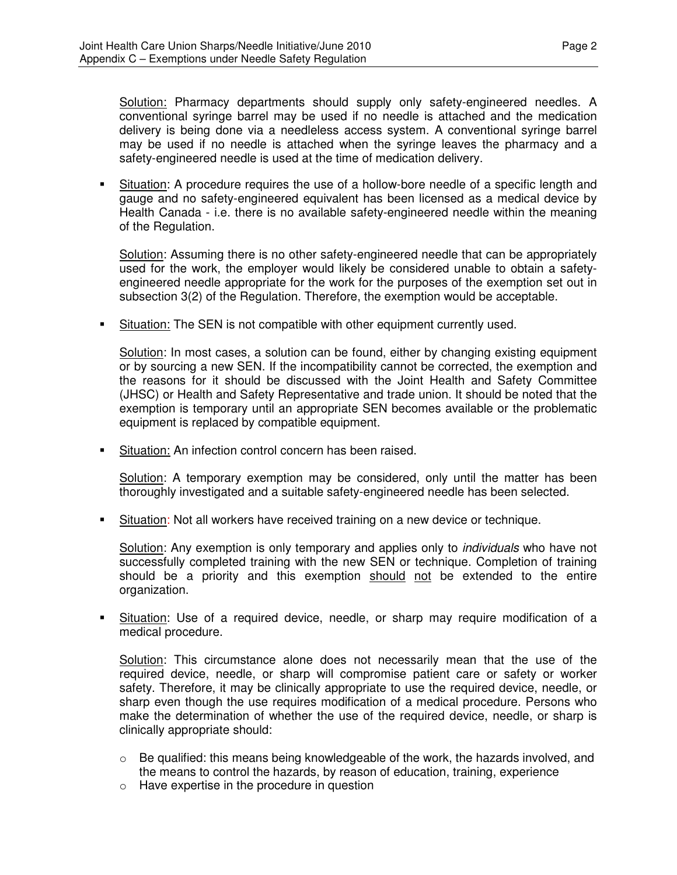Solution: Pharmacy departments should supply only safety-engineered needles. A conventional syringe barrel may be used if no needle is attached and the medication delivery is being done via a needleless access system. A conventional syringe barrel may be used if no needle is attached when the syringe leaves the pharmacy and a safety-engineered needle is used at the time of medication delivery.

 Situation: A procedure requires the use of a hollow-bore needle of a specific length and gauge and no safety-engineered equivalent has been licensed as a medical device by Health Canada - i.e. there is no available safety-engineered needle within the meaning of the Regulation.

Solution: Assuming there is no other safety-engineered needle that can be appropriately used for the work, the employer would likely be considered unable to obtain a safetyengineered needle appropriate for the work for the purposes of the exemption set out in subsection 3(2) of the Regulation. Therefore, the exemption would be acceptable.

Situation: The SEN is not compatible with other equipment currently used.

Solution: In most cases, a solution can be found, either by changing existing equipment or by sourcing a new SEN. If the incompatibility cannot be corrected, the exemption and the reasons for it should be discussed with the Joint Health and Safety Committee (JHSC) or Health and Safety Representative and trade union. It should be noted that the exemption is temporary until an appropriate SEN becomes available or the problematic equipment is replaced by compatible equipment.

**Situation: An infection control concern has been raised.** 

Solution: A temporary exemption may be considered, only until the matter has been thoroughly investigated and a suitable safety-engineered needle has been selected.

Situation: Not all workers have received training on a new device or technique.

Solution: Any exemption is only temporary and applies only to individuals who have not successfully completed training with the new SEN or technique. Completion of training should be a priority and this exemption should not be extended to the entire organization.

 Situation: Use of a required device, needle, or sharp may require modification of a medical procedure.

Solution: This circumstance alone does not necessarily mean that the use of the required device, needle, or sharp will compromise patient care or safety or worker safety. Therefore, it may be clinically appropriate to use the required device, needle, or sharp even though the use requires modification of a medical procedure. Persons who make the determination of whether the use of the required device, needle, or sharp is clinically appropriate should:

- $\circ$  Be qualified: this means being knowledgeable of the work, the hazards involved, and the means to control the hazards, by reason of education, training, experience
- o Have expertise in the procedure in question